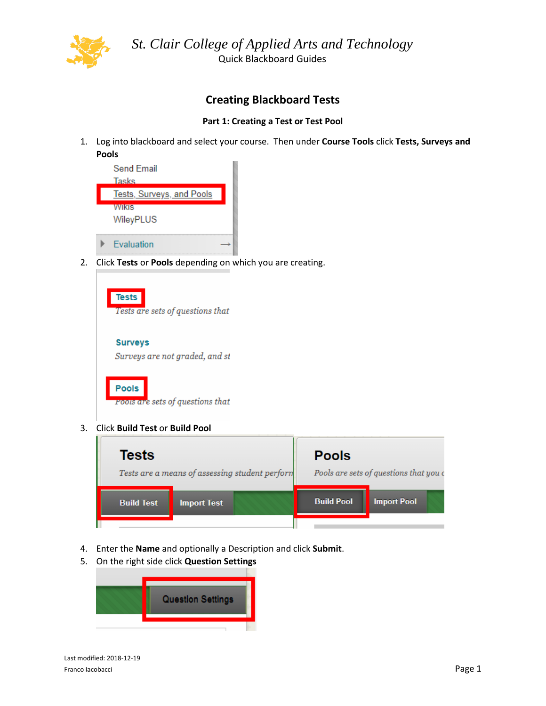

*St. Clair College of Applied Arts and Technology* Quick Blackboard Guides

# **Creating Blackboard Tests**

## **Part 1: Creating a Test or Test Pool**

1. Log into blackboard and select your course. Then under **Course Tools** click **Tests, Surveys and Pools**



2. Click **Tests** or **Pools** depending on which you are creating.

| <b>Tests</b><br>Tests are sets of questions that |
|--------------------------------------------------|
| <b>Surveys</b><br>Surveys are not graded, and st |
| <b>Pools</b><br>Pools are sets of questions that |

3. Click **Build Test** or **Build Pool**



- 4. Enter the **Name** and optionally a Description and click **Submit**.
- 5. On the right side click **Question Settings**

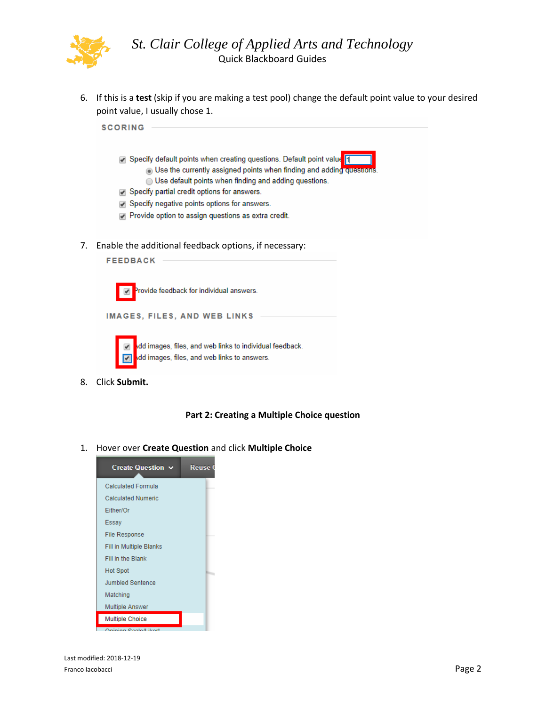

6. If this is a **test** (skip if you are making a test pool) change the default point value to your desired point value, I usually chose 1.



8. Click **Submit.**

### **Part 2: Creating a Multiple Choice question**

1. Hover over **Create Question** and click **Multiple Choice**

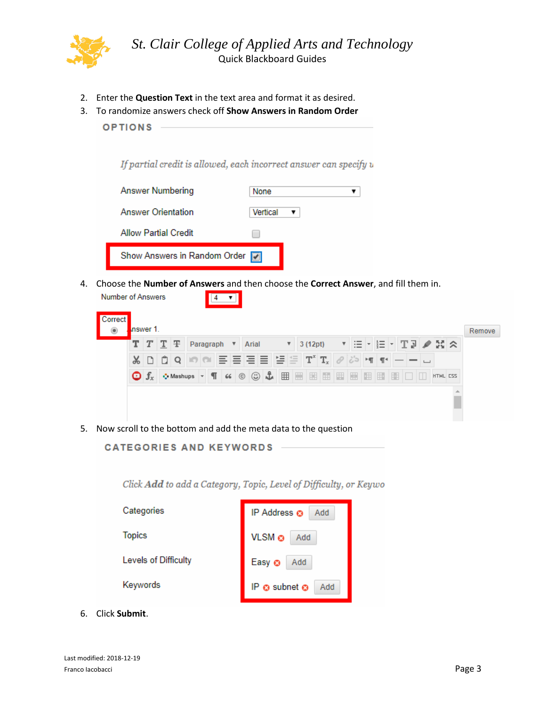

- 2. Enter the **Question Text** in the text area and format it as desired.
- 3. To randomize answers check off **Show Answers in Random Order**
	- **OPTIONS**

If partial credit is allowed, each incorrect answer can specify u

| <b>Answer Numbering</b>        | None     |  |
|--------------------------------|----------|--|
| <b>Answer Orientation</b>      | Vertical |  |
| <b>Allow Partial Credit</b>    |          |  |
| Show Answers in Random Order 7 |          |  |
|                                |          |  |

4. Choose the **Number of Answers** and then choose the **Correct Answer**, and fill them in.

| $T$ $T$ $T$ $F$<br>Paragraph                                                      | Arial<br>▼ | ▼                                                    |               |  |                       |
|-----------------------------------------------------------------------------------|------------|------------------------------------------------------|---------------|--|-----------------------|
|                                                                                   |            | 3(12pt)                                              |               |  | │⊞ ~  ⊟ ~│TD ♪ 정 ☆    |
| I Ô.<br>$\mathbb{X}$ D<br>$\overline{Q}$                                          |            | [리듬 금름] '블루 [T' T, $ \mathscr{O} \phi$ [m] m $ - - $ |               |  |                       |
| $\bullet$ Mashups $\bullet$ $\P$ 66 $\circ$ $\circ$ $\bullet$<br>$\bigcirc$ $f_x$ |            | 囲<br>$\mathbb{R}$                                    | ■ ■ ■ ■ ■ ■ ■ |  | <b>ES DI HTML CSS</b> |

5. Now scroll to the bottom and add the meta data to the question

# **CATEGORIES AND KEYWORDS**

Click Add to add a Category, Topic, Level of Difficulty, or Keywo

| Categories           | IP Address @<br><b>Add</b>       |
|----------------------|----------------------------------|
| <b>Topics</b>        | VLSM @<br>Add                    |
| Levels of Difficulty | Easy <sup>®</sup><br>Add         |
| Keywords             | IP $\odot$ subnet $\odot$<br>Add |

6. Click **Submit**.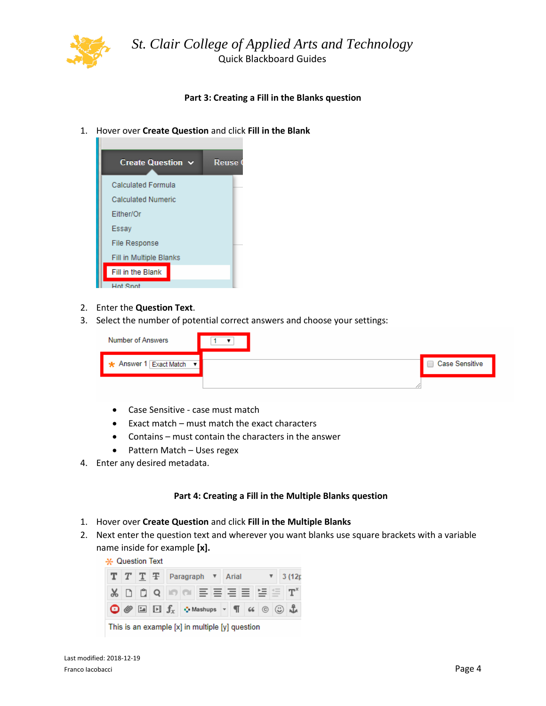

*St. Clair College of Applied Arts and Technology* Quick Blackboard Guides

## **Part 3: Creating a Fill in the Blanks question**

1. Hover over **Create Question** and click **Fill in the Blank**



- 2. Enter the **Question Text**.
- 3. Select the number of potential correct answers and choose your settings:

| Number of Answers        | $\overline{\phantom{0}}$ |                  |
|--------------------------|--------------------------|------------------|
| ★ Answer 1 Exact Match ▼ |                          | ◯ Case Sensitive |
|                          |                          |                  |

- Case Sensitive case must match
- Exact match must match the exact characters
- Contains must contain the characters in the answer
- Pattern Match Uses regex
- 4. Enter any desired metadata.

### **Part 4: Creating a Fill in the Multiple Blanks question**

- 1. Hover over **Create Question** and click **Fill in the Multiple Blanks**
- 2. Next enter the question text and wherever you want blanks use square brackets with a variable name inside for example **[x].**